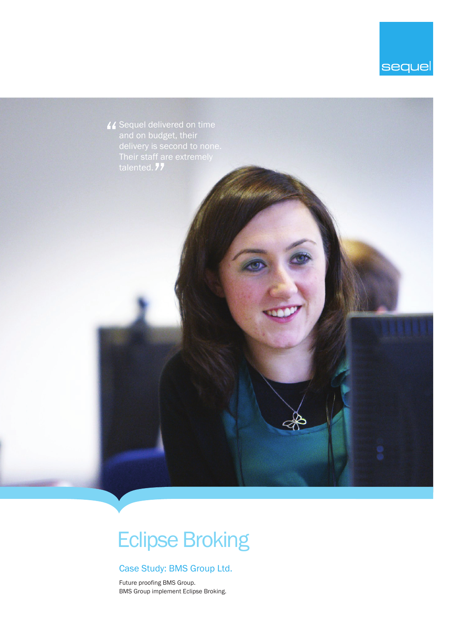



# Eclipse Broking

## Case Study: BMS Group Ltd.

Future proofing BMS Group. BMS Group implement Eclipse Broking.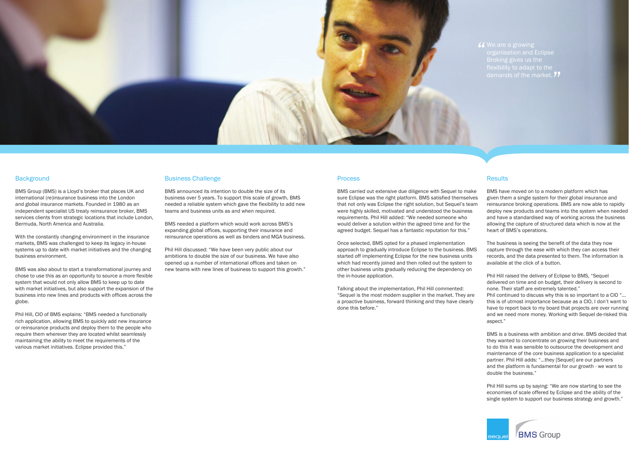

### **Background**

BMS Group (BMS) is a Lloyd's broker that places UK and international (re)insurance business into the London and global insurance markets. Founded in 1980 as an independent specialist US treaty reinsurance broker, BMS services clients from strategic locations that include London, Bermuda, North America and Australia.

With the constantly changing environment in the insurance markets, BMS was challenged to keep its legacy in-house systems up to date with market initiatives and the changing business environment.

BMS was also about to start a transformational journey and chose to use this as an opportunity to source a more flexible system that would not only allow BMS to keep up to date with market initiatives, but also support the expansion of the business into new lines and products with offices across the globe.

Phil Hill, CIO of BMS explains: "BMS needed a functionally rich application, allowing BMS to quickly add new insurance or reinsurance products and deploy them to the people who require them wherever they are located whilst seamlessly maintaining the ability to meet the requirements of the various market initiatives. Eclipse provided this."

## Business Challenge

BMS announced its intention to double the size of its business over 5 years. To support this scale of growth, BMS needed a reliable system which gave the flexibility to add new teams and business units as and when required.

BMS needed a platform which would work across BMS's expanding global offices, supporting their insurance and reinsurance operations as well as binders and MGA business.

Phil Hill discussed: "We have been very public about our ambitions to double the size of our business. We have also opened up a number of international offices and taken on new teams with new lines of business to support this growth."

## **Process**

BMS carried out extensive due diligence with Sequel to make sure Eclipse was the right platform. BMS satisfied themselves that not only was Eclipse the right solution, but Sequel's team were highly skilled, motivated and understood the business requirements. Phil Hill added: "We needed someone who would deliver a solution within the agreed time and for the agreed budget. Sequel has a fantastic reputation for this."

I We are a growing<br>| organisation and<br>| Broking gives us t demands of the market. 77 Broking gives us the flexibility to adapt to the

## **Results**

Once selected, BMS opted for a phased implementation approach to gradually introduce Eclipse to the business. BMS started off implementing Eclipse for the new business units which had recently joined and then rolled out the system to other business units gradually reducing the dependency on the in-house application.

Talking about the implementation, Phil Hill commented: "Sequel is the most modern supplier in the market. They are a proactive business, forward thinking and they have clearly done this before."

BMS have moved on to a modern platform which has given them a single system for their global insurance and reinsurance broking operations. BMS are now able to rapidly deploy new products and teams into the system when needed and have a standardised way of working across the business allowing the capture of structured data which is now at the heart of BMS's operations.

The business is seeing the benefit of the data they now capture through the ease with which they can access their records, and the data presented to them. The information is available at the click of a button.

Phil Hill raised the delivery of Eclipse to BMS, "Sequel delivered on time and on budget, their delivery is second to none. Their staff are extremely talented."

Phil continued to discuss why this is so important to a CIO "… this is of utmost importance because as a CIO, I don't want to have to report back to my board that projects are over running and we need more money. Working with Sequel de-risked this aspect."

BMS is a business with ambition and drive. BMS decided that they wanted to concentrate on growing their business and to do this it was sensible to outsource the development and maintenance of the core business application to a specialist partner. Phil Hill adds: "…they [Sequel] are our partners and the platform is fundamental for our growth - we want to double the business."

Phil Hill sums up by saying: "We are now starting to see the economies of scale offered by Eclipse and the ability of the single system to support our business strategy and growth."